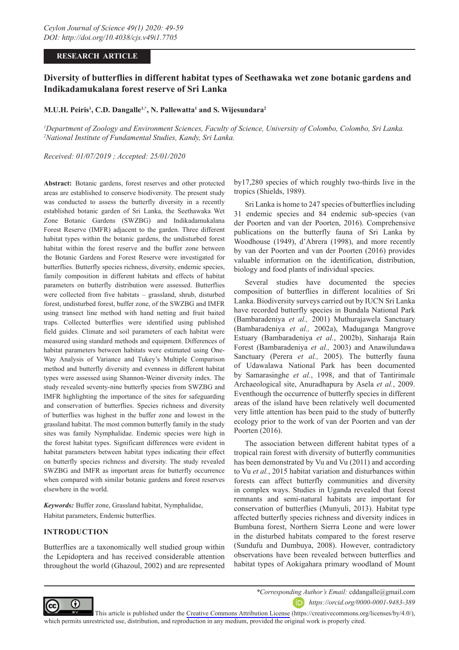## **RESEARCH ARTICLE**

# **Diversity of butterflies in different habitat types of Seethawaka wet zone botanic gardens and Indikadamukalana forest reserve of Sri Lanka**

# **M.U.H. Peiris1 , C.D. Dangalle1,\*, N. Pallewatta1 and S. Wijesundara2**

*1 Department of Zoology and Environment Sciences, Faculty of Science, University of Colombo, Colombo, Sri Lanka. 2 National Institute of Fundamental Studies, Kandy, Sri Lanka.*

*Received: 01/07/2019 ; Accepted: 25/01/2020*

**Abstract:** Botanic gardens, forest reserves and other protected areas are established to conserve biodiversity. The present study was conducted to assess the butterfly diversity in a recently established botanic garden of Sri Lanka, the Seethawaka Wet Zone Botanic Gardens (SWZBG) and Indikadamukalana Forest Reserve (IMFR) adjacent to the garden. Three different habitat types within the botanic gardens, the undisturbed forest habitat within the forest reserve and the buffer zone between the Botanic Gardens and Forest Reserve were investigated for butterflies. Butterfly species richness, diversity, endemic species, family composition in different habitats and effects of habitat parameters on butterfly distribution were assessed. Butterflies were collected from five habitats – grassland, shrub, disturbed forest, undisturbed forest, buffer zone, of the SWZBG and IMFR using transect line method with hand netting and fruit baited traps. Collected butterflies were identified using published field guides. Climate and soil parameters of each habitat were measured using standard methods and equipment. Differences of habitat parameters between habitats were estimated using One-Way Analysis of Variance and Tukey's Multiple Comparison method and butterfly diversity and evenness in different habitat types were assessed using Shannon-Weiner diversity index. The study revealed seventy-nine butterfly species from SWZBG and IMFR highlighting the importance of the sites for safeguarding and conservation of butterflies. Species richness and diversity of butterflies was highest in the buffer zone and lowest in the grassland habitat. The most common butterfly family in the study sites was family Nymphalidae. Endemic species were high in the forest habitat types. Significant differences were evident in habitat parameters between habitat types indicating their effect on butterfly species richness and diversity. The study revealed SWZBG and IMFR as important areas for butterfly occurrence when compared with similar botanic gardens and forest reserves elsewhere in the world.

*Keywords:* Buffer zone, Grassland habitat, Nymphalidae, Habitat parameters, Endemic butterflies.

# **INTRODUCTION**

Butterflies are a taxonomically well studied group within the Lepidoptera and has received considerable attention throughout the world (Ghazoul, 2002) and are represented by17,280 species of which roughly two-thirds live in the tropics (Shields, 1989).

Sri Lanka is home to 247 species of butterflies including 31 endemic species and 84 endemic sub-species (van der Poorten and van der Poorten, 2016). Comprehensive publications on the butterfly fauna of Sri Lanka by Woodhouse (1949), d'Abrera (1998), and more recently by van der Poorten and van der Poorten (2016) provides valuable information on the identification, distribution, biology and food plants of individual species.

Several studies have documented the species composition of butterflies in different localities of Sri Lanka. Biodiversity surveys carried out by IUCN Sri Lanka have recorded butterfly species in Bundala National Park (Bambaradeniya *et al.,* 2001) Muthurajawela Sanctuary (Bambaradeniya *et al.,* 2002a), Maduganga Mangrove Estuary (Bambaradeniya *et al.*, 2002b), Sinharaja Rain Forest (Bambaradeniya *et al.,* 2003) and Anawilundawa Sanctuary (Perera *et al.,* 2005). The butterfly fauna of Udawalawa National Park has been documented by Samarasinghe *et al.*, 1998, and that of Tantirimale Archaeological site, Anuradhapura by Asela *et al.*, 2009. Eventhough the occurrence of butterfly species in different areas of the island have been relatively well documented very little attention has been paid to the study of butterfly ecology prior to the work of van der Poorten and van der Poorten (2016).

The association between different habitat types of a tropical rain forest with diversity of butterfly communities has been demonstrated by Vu and Vu (2011) and according to Vu *et al.*, 2015 habitat variation and disturbances within forests can affect butterfly communities and diversity in complex ways. Studies in Uganda revealed that forest remnants and semi-natural habitats are important for conservation of butterflies (Munyuli, 2013). Habitat type affected butterfly species richness and diversity indices in Bumbuna forest, Northern Sierra Leone and were lower in the disturbed habitats compared to the forest reserve (Sundufu and Dumbuya, 2008). However, contradictory observations have been revealed between butterflies and habitat types of Aokigahara primary woodland of Mount



*\*Corresponding Author's Email:* cddangalle@gmail.com

*https://orcid.org/0000-0001-9483-389*

This article is published under the [Creative Commons Attribution License](https://creativecommons.org/licenses/by/4.0/) (https://creativecommons.org/licenses/by/4.0/), which permits unrestricted use, distribution, and reproduction in any medium, provided the original work is properly cited.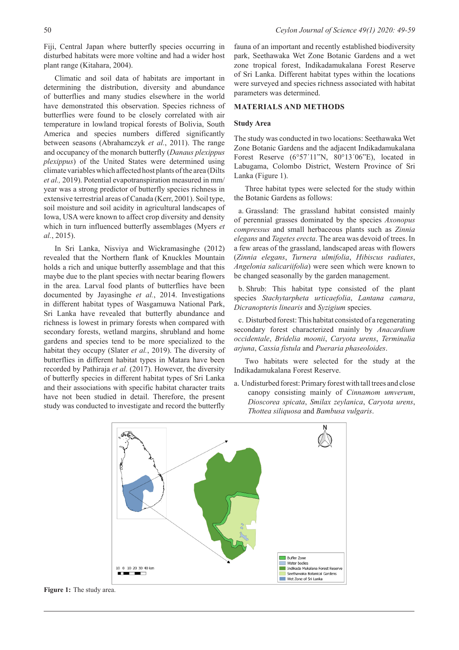Fiji, Central Japan where butterfly species occurring in disturbed habitats were more voltine and had a wider host plant range (Kitahara, 2004).

Climatic and soil data of habitats are important in determining the distribution, diversity and abundance of butterflies and many studies elsewhere in the world have demonstrated this observation. Species richness of butterflies were found to be closely correlated with air temperature in lowland tropical forests of Bolivia, South America and species numbers differed significantly between seasons (Abrahamczyk *et al.*, 2011). The range and occupancy of the monarch butterfly (*Danaus plexippus plexippus*) of the United States were determined using climate variables which affected host plants of the area (Dilts *et al.,* 2019). Potential evapotranspiration measured in mm/ year was a strong predictor of butterfly species richness in extensive terrestrial areas of Canada (Kerr, 2001). Soil type, soil moisture and soil acidity in agricultural landscapes of Iowa, USA were known to affect crop diversity and density which in turn influenced butterfly assemblages (Myers *et al.*, 2015).

In Sri Lanka, Nisviya and Wickramasinghe (2012) revealed that the Northern flank of Knuckles Mountain holds a rich and unique butterfly assemblage and that this maybe due to the plant species with nectar bearing flowers in the area. Larval food plants of butterflies have been documented by Jayasinghe *et al.*, 2014. Investigations in different habitat types of Wasgamuwa National Park, Sri Lanka have revealed that butterfly abundance and richness is lowest in primary forests when compared with secondary forests, wetland margins, shrubland and home gardens and species tend to be more specialized to the habitat they occupy (Slater *et al.*, 2019). The diversity of butterflies in different habitat types in Matara have been recorded by Pathiraja *et al.* (2017). However, the diversity of butterfly species in different habitat types of Sri Lanka and their associations with specific habitat character traits have not been studied in detail. Therefore, the present study was conducted to investigate and record the butterfly

fauna of an important and recently established biodiversity park, Seethawaka Wet Zone Botanic Gardens and a wet zone tropical forest, Indikadamukalana Forest Reserve of Sri Lanka. Different habitat types within the locations were surveyed and species richness associated with habitat parameters was determined.

## **MATERIALS AND METHODS**

## **Study Area**

The study was conducted in two locations: Seethawaka Wet Zone Botanic Gardens and the adjacent Indikadamukalana Forest Reserve (6°57'11"N, 80°13'06"E), located in Labugama, Colombo District, Western Province of Sri Lanka (Figure 1).

Three habitat types were selected for the study within the Botanic Gardens as follows:

a. Grassland: The grassland habitat consisted mainly of perennial grasses dominated by the species *Axonopus compressus* and small herbaceous plants such as *Zinnia elegans* and *Tagetes erecta*. The area was devoid of trees. In a few areas of the grassland, landscaped areas with flowers (*Zinnia elegans*, *Turnera ulmifolia*, *Hibiscus radiates*, *Angelonia salicariifolia*) were seen which were known to be changed seasonally by the garden management.

b. Shrub: This habitat type consisted of the plant species *Stachytarpheta urticaefolia*, *Lantana camara*, *Dicranopteris linearis* and *Syzigium* species.

c. Disturbed forest: This habitat consisted of a regenerating secondary forest characterized mainly by *Anacardium occidentale*, *Bridelia moonii*, *Caryota urens*, *Terminalia arjuna*, *Cassia fistula* and *Pueraria phaseoloides*.

Two habitats were selected for the study at the Indikadamukalana Forest Reserve.

a. Undisturbed forest: Primary forest with tall trees and close canopy consisting mainly of *Cinnamom umverum*, *Dioscorea spicata*, *Smilax zeylanica*, *Caryota urens*, *Thottea siliquosa* and *Bambusa vulgaris*.



**Figure 1:** The study area.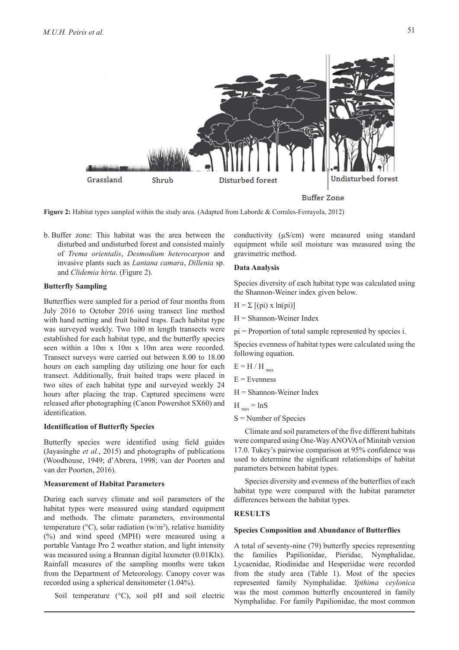

**Figure 2:** Habitat types sampled within the study area. (Adapted from Laborde & Corrales-Ferrayola, 2012)

b. Buffer zone: This habitat was the area between the disturbed and undisturbed forest and consisted mainly of *Trema orientalis*, *Desmodium heterocarpon* and invasive plants such as *Lantana camara*, *Dillenia* sp. and *Clidemia hirta*. (Figure 2).

#### **Butterfly Sampling**

Butterflies were sampled for a period of four months from July 2016 to October 2016 using transect line method with hand netting and fruit baited traps. Each habitat type was surveyed weekly. Two 100 m length transects were established for each habitat type, and the butterfly species seen within a 10m x 10m x 10m area were recorded. Transect surveys were carried out between 8.00 to 18.00 hours on each sampling day utilizing one hour for each transect. Additionally, fruit baited traps were placed in two sites of each habitat type and surveyed weekly 24 hours after placing the trap. Captured specimens were released after photographing (Canon Powershot SX60) and identification.

## **Identification of Butterfly Species**

Butterfly species were identified using field guides (Jayasinghe *et al.*, 2015) and photographs of publications (Woodhouse, 1949; d'Abrera, 1998; van der Poorten and van der Poorten, 2016).

#### **Measurement of Habitat Parameters**

During each survey climate and soil parameters of the habitat types were measured using standard equipment and methods. The climate parameters, environmental temperature ( $\rm{^{\circ}C}$ ), solar radiation (w/m<sup>2</sup>), relative humidity (%) and wind speed (MPH) were measured using a portable Vantage Pro 2 weather station, and light intensity was measured using a Brannan digital luxmeter (0.01Klx). Rainfall measures of the sampling months were taken from the Department of Meteorology. Canopy cover was recorded using a spherical densitometer (1.04%).

Soil temperature (°C), soil pH and soil electric

conductivity (µS/cm) were measured using standard equipment while soil moisture was measured using the gravimetric method.

## **Data Analysis**

Species diversity of each habitat type was calculated using the Shannon-Weiner index given below.

$$
H = \Sigma [(pi) \times ln(pi)]
$$

H = Shannon-Weiner Index

pi = Proportion of total sample represented by species i.

Species evenness of habitat types were calculated using the following equation.

- $E = H/H$ <sub>max</sub>
- $E =$ Evenness
- $H =$ Shannon-Weiner Index

$$
H_{\text{max}} = \ln S
$$

S = Number of Species

Climate and soil parameters of the five different habitats were compared using One-Way ANOVA of Minitab version 17.0. Tukey's pairwise comparison at 95% confidence was used to determine the significant relationships of habitat parameters between habitat types.

Species diversity and evenness of the butterflies of each habitat type were compared with the habitat parameter differences between the habitat types.

## **RESULTS**

#### **Species Composition and Abundance of Butterflies**

A total of seventy-nine (79) butterfly species representing the families Papilionidae, Pieridae, Nymphalidae, Lycaenidae, Riodinidae and Hesperiidae were recorded from the study area (Table 1). Most of the species represented family Nymphalidae. *Ypthima ceylonica*  was the most common butterfly encountered in family Nymphalidae. For family Papilionidae, the most common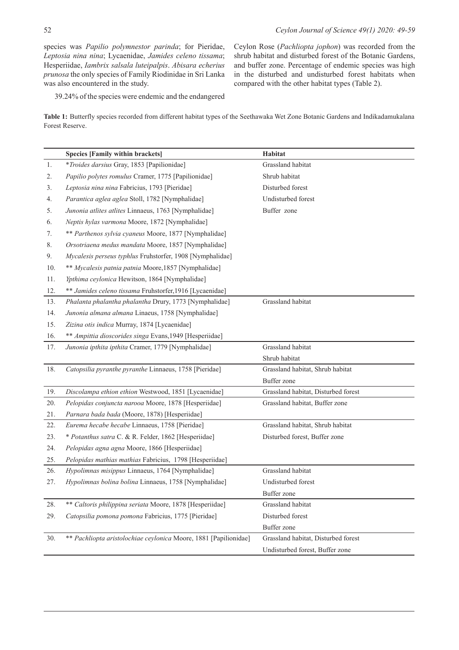species was *Papilio polymnestor parinda*; for Pieridae, *Leptosia nina nina*; Lycaenidae, *Jamides celeno tissama*; Hesperiidae, *Iambrix salsala luteipalpis*. *Abisara echerius prunosa* the only species of Family Riodinidae in Sri Lanka was also encountered in the study.

Ceylon Rose (*Pachliopta jophon*) was recorded from the shrub habitat and disturbed forest of the Botanic Gardens, and buffer zone. Percentage of endemic species was high in the disturbed and undisturbed forest habitats when compared with the other habitat types (Table 2).

39.24% of the species were endemic and the endangered

**Table 1:** Butterfly species recorded from different habitat types of the Seethawaka Wet Zone Botanic Gardens and Indikadamukalana Forest Reserve.

|     | <b>Species [Family within brackets]</b>                          | Habitat                             |
|-----|------------------------------------------------------------------|-------------------------------------|
| 1.  | *Troides darsius Gray, 1853 [Papilionidae]                       | Grassland habitat                   |
| 2.  | Papilio polytes romulus Cramer, 1775 [Papilionidae]              | Shrub habitat                       |
| 3.  | Leptosia nina nina Fabricius, 1793 [Pieridae]                    | Disturbed forest                    |
| 4.  | Parantica aglea aglea Stoll, 1782 [Nymphalidae]                  | Undisturbed forest                  |
| 5.  | Junonia atlites atlites Linnaeus, 1763 [Nymphalidae]             | Buffer zone                         |
| 6.  | Neptis hylas varmona Moore, 1872 [Nymphalidae]                   |                                     |
| 7.  | ** Parthenos sylvia cyaneus Moore, 1877 [Nymphalidae]            |                                     |
| 8.  | Orsotriaena medus mandata Moore, 1857 [Nymphalidae]              |                                     |
| 9.  | Mycalesis perseus typhlus Fruhstorfer, 1908 [Nymphalidae]        |                                     |
| 10. | ** Mycalesis patnia patnia Moore,1857 [Nymphalidae]              |                                     |
| 11. | Ypthima ceylonica Hewitson, 1864 [Nymphalidae]                   |                                     |
| 12. | ** Jamides celeno tissama Fruhstorfer, 1916 [Lycaenidae]         |                                     |
| 13. | Phalanta phalantha phalantha Drury, 1773 [Nymphalidae]           | Grassland habitat                   |
| 14. | Junonia almana almana Linaeus, 1758 [Nymphalidae]                |                                     |
| 15. | Zizina otis indica Murray, 1874 [Lycaenidae]                     |                                     |
| 16. | ** Ampittia dioscorides singa Evans, 1949 [Hesperiidae]          |                                     |
| 17. | Junonia ipthita ipthita Cramer, 1779 [Nymphalidae]               | Grassland habitat                   |
|     |                                                                  | Shrub habitat                       |
| 18. | Catopsilia pyranthe pyranthe Linnaeus, 1758 [Pieridae]           | Grassland habitat, Shrub habitat    |
|     |                                                                  | <b>Buffer</b> zone                  |
| 19. | Discolampa ethion ethion Westwood, 1851 [Lycaenidae]             | Grassland habitat, Disturbed forest |
| 20. | Pelopidas conjuncta narooa Moore, 1878 [Hesperiidae]             | Grassland habitat, Buffer zone      |
| 21. | Parnara bada bada (Moore, 1878) [Hesperiidae]                    |                                     |
| 22. | Eurema hecabe hecabe Linnaeus, 1758 [Pieridae]                   | Grassland habitat, Shrub habitat    |
| 23. | * Potanthus satra C. & R. Felder, 1862 [Hesperiidae]             | Disturbed forest, Buffer zone       |
| 24. | Pelopidas agna agna Moore, 1866 [Hesperiidae]                    |                                     |
| 25. | Pelopidas mathias mathias Fabricius, 1798 [Hesperiidae]          |                                     |
| 26. | Hypolimnas misippus Linnaeus, 1764 [Nymphalidae]                 | Grassland habitat                   |
| 27. | Hypolimnas bolina bolina Linnaeus, 1758 [Nymphalidae]            | Undisturbed forest                  |
|     |                                                                  | Buffer zone                         |
| 28. | ** Caltoris philippina seriata Moore, 1878 [Hesperiidae]         | Grassland habitat                   |
| 29. | Catopsilia pomona pomona Fabricius, 1775 [Pieridae]              | Disturbed forest                    |
|     |                                                                  | Buffer zone                         |
| 30. | ** Pachliopta aristolochiae ceylonica Moore, 1881 [Papilionidae] | Grassland habitat, Disturbed forest |
|     |                                                                  | Undisturbed forest, Buffer zone     |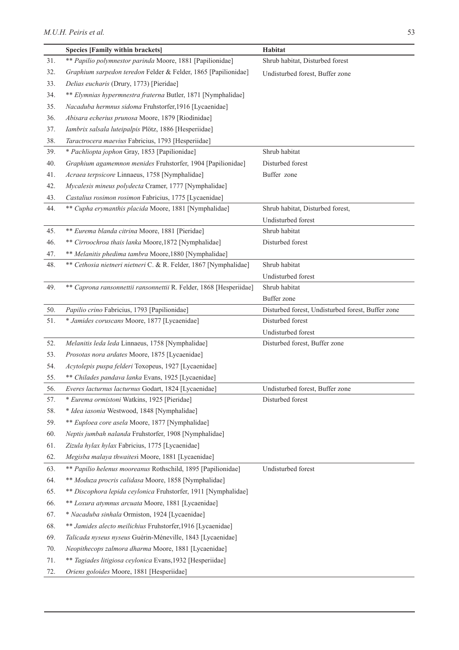|     | <b>Species [Family within brackets]</b>                            | Habitat                                           |  |  |
|-----|--------------------------------------------------------------------|---------------------------------------------------|--|--|
| 31. | ** Papilio polymnestor parinda Moore, 1881 [Papilionidae]          | Shrub habitat, Disturbed forest                   |  |  |
| 32. | Graphium sarpedon teredon Felder & Felder, 1865 [Papilionidae]     | Undisturbed forest, Buffer zone                   |  |  |
| 33. | Delias eucharis (Drury, 1773) [Pieridae]                           |                                                   |  |  |
| 34. | ** Elymnias hypermnestra fraterna Butler, 1871 [Nymphalidae]       |                                                   |  |  |
| 35. | Nacaduba hermnus sidoma Fruhstorfer, 1916 [Lycaenidae]             |                                                   |  |  |
| 36. | Abisara echerius prunosa Moore, 1879 [Riodinidae]                  |                                                   |  |  |
| 37. | Iambrix salsala luteipalpis Plötz, 1886 [Hesperiidae]              |                                                   |  |  |
| 38. | Taractrocera maevius Fabricius, 1793 [Hesperiidae]                 |                                                   |  |  |
| 39. | * Pachliopta jophon Gray, 1853 [Papilionidae]                      | Shrub habitat                                     |  |  |
| 40. | Graphium agamemnon menides Fruhstorfer, 1904 [Papilionidae]        | Disturbed forest                                  |  |  |
| 41. | Acraea terpsicore Linnaeus, 1758 [Nymphalidae]                     | Buffer zone                                       |  |  |
| 42. | Mycalesis mineus polydecta Cramer, 1777 [Nymphalidae]              |                                                   |  |  |
| 43. | Castalius rosimon rosimon Fabricius, 1775 [Lycaenidae]             |                                                   |  |  |
| 44. | ** Cupha erymanthis placida Moore, 1881 [Nymphalidae]              | Shrub habitat, Disturbed forest,                  |  |  |
|     |                                                                    | Undisturbed forest                                |  |  |
| 45. | ** Eurema blanda citrina Moore, 1881 [Pieridae]                    | Shrub habitat                                     |  |  |
| 46. | ** Cirroochroa thais lanka Moore,1872 [Nymphalidae]                | Disturbed forest                                  |  |  |
| 47. | ** Melanitis phedima tambra Moore,1880 [Nymphalidae]               |                                                   |  |  |
| 48. | ** Cethosia nietneri nietneri C. & R. Felder, 1867 [Nymphalidae]   | Shrub habitat                                     |  |  |
|     |                                                                    | Undisturbed forest                                |  |  |
| 49. | ** Caprona ransonnettii ransonnettii R. Felder, 1868 [Hesperiidae] | Shrub habitat                                     |  |  |
|     |                                                                    | Buffer zone                                       |  |  |
| 50. | Papilio crino Fabricius, 1793 [Papilionidae]                       | Disturbed forest, Undisturbed forest, Buffer zone |  |  |
| 51. | * Jamides coruscans Moore, 1877 [Lycaenidae]                       | Disturbed forest                                  |  |  |
|     |                                                                    | Undisturbed forest                                |  |  |
| 52. | Melanitis leda leda Linnaeus, 1758 [Nymphalidae]                   | Disturbed forest, Buffer zone                     |  |  |
| 53. | Prosotas nora ardates Moore, 1875 [Lycaenidae]                     |                                                   |  |  |
| 54. | Acytolepis puspa felderi Toxopeus, 1927 [Lycaenidae]               |                                                   |  |  |
| 55. | ** Chilades pandava lanka Evans, 1925 [Lycaenidae]                 |                                                   |  |  |
| 56. | Everes lacturnus lacturnus Godart, 1824 [Lycaenidae]               | Undisturbed forest, Buffer zone                   |  |  |
| 57. | * Eurema ormistoni Watkins, 1925 [Pieridae]                        | Disturbed forest                                  |  |  |
| 58. | * Idea iasonia Westwood, 1848 [Nymphalidae]                        |                                                   |  |  |
| 59. | ** Euploea core asela Moore, 1877 [Nymphalidae]                    |                                                   |  |  |
| 60. | Neptis jumbah nalanda Fruhstorfer, 1908 [Nymphalidae]              |                                                   |  |  |
| 61. | Zizula hylax hylax Fabricius, 1775 [Lycaenidae]                    |                                                   |  |  |
| 62. | Megisba malaya thwaitesi Moore, 1881 [Lycaenidae]                  |                                                   |  |  |
| 63. | ** Papilio helenus mooreanus Rothschild, 1895 [Papilionidae]       | Undisturbed forest                                |  |  |
| 64. | ** Moduza procris calidasa Moore, 1858 [Nymphalidae]               |                                                   |  |  |
| 65. | ** Discophora lepida ceylonica Fruhstorfer, 1911 [Nymphalidae]     |                                                   |  |  |
| 66. | ** Loxura atymnus arcuata Moore, 1881 [Lycaenidae]                 |                                                   |  |  |
| 67. | * Nacaduba sinhala Ormiston, 1924 [Lycaenidae]                     |                                                   |  |  |
| 68. | ** Jamides alecto meilichius Fruhstorfer, 1916 [Lycaenidae]        |                                                   |  |  |
| 69. | Talicada nyseus nyseus Guérin-Méneville, 1843 [Lycaenidae]         |                                                   |  |  |
| 70. | Neopithecops zalmora dharma Moore, 1881 [Lycaenidae]               |                                                   |  |  |
| 71. | ** Tagiades litigiosa ceylonica Evans, 1932 [Hesperiidae]          |                                                   |  |  |
| 72. | Oriens goloides Moore, 1881 [Hesperiidae]                          |                                                   |  |  |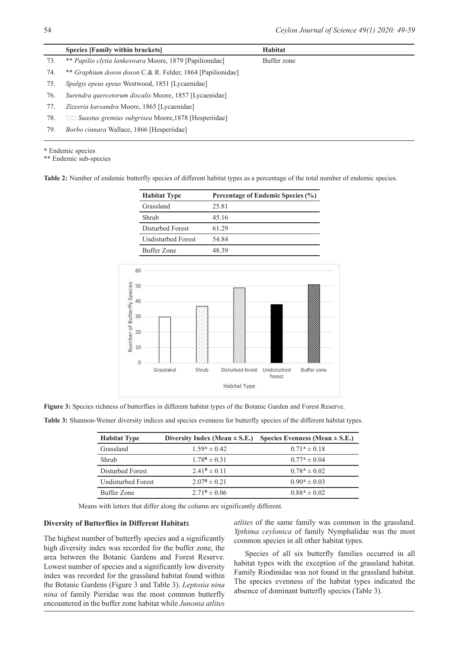|     | Species [Family within brackets]                                  | Habitat     |
|-----|-------------------------------------------------------------------|-------------|
| 73. | ** Papilio clytia lankeswara Moore, 1879 [Papilionidae]           | Buffer zone |
| 74. | ** <i>Graphium doson doson</i> C.& R. Felder, 1864 [Papilionidae] |             |
| 75. | <i>Spalgis epeus epeus</i> Westwood, 1851 [Lycaenidae]            |             |
| 76. | Surendra quercetorum discalis Moore, 1857 [Lycaenidae]            |             |
| 77. | Zizeeria karsandra Moore, 1865 [Lycaenidae]                       |             |
| 78. | $\Box$ Suastus gremius subgrisea Moore, 1878 [Hesperiidae]        |             |
| 79. | <i>Borbo cinnara</i> Wallace, 1866 [Hesperiidae]                  |             |
|     |                                                                   |             |

\* Endemic species

\*\* Endemic sub-species

**Table 2:** Number of endemic butterfly species of different habitat types as a percentage of the total number of endemic species.

| <b>Habitat Type</b>       | Percentage of Endemic Species (%) |  |  |
|---------------------------|-----------------------------------|--|--|
| Grassland                 | 25.81                             |  |  |
| Shrub                     | 45 16                             |  |  |
| Disturbed Forest          | 61 29                             |  |  |
| <b>Undisturbed Forest</b> | 54 84                             |  |  |
| <b>Buffer Zone</b>        | 48.39                             |  |  |



**Figure 3:** Species richness of butterflies in different habitat types of the Botanic Garden and Forest Reserve.

**Table 3:** Shannon-Weiner diversity indices and species evenness for butterfly species of the different habitat types.

| <b>Habitat Type</b> |                         | Diversity Index (Mean $\pm$ S.E.) Species Evenness (Mean $\pm$ S.E.) |
|---------------------|-------------------------|----------------------------------------------------------------------|
| Grassland           | $1.59A \pm 0.42$        | $0.71^{\rm A} \pm 0.18$                                              |
| Shrub               | $1.78^{\rm B} \pm 0.31$ | $0.77^{\rm A} \pm 0.04$                                              |
| Disturbed Forest    | $2.41^{\rm B} \pm 0.11$ | $0.78^{\rm A} \pm 0.02$                                              |
| Undisturbed Forest  | $2.07^{\rm B} \pm 0.21$ | $0.90^{4} \pm 0.03$                                                  |
| <b>Buffer Zone</b>  | $2.71^{\rm B} \pm 0.06$ | $0.88A \pm 0.02$                                                     |

Means with letters that differ along the column are significantly different.

## **Diversity of Butterflies in Different Habitat**s

The highest number of butterfly species and a significantly high diversity index was recorded for the buffer zone, the area between the Botanic Gardens and Forest Reserve. Lowest number of species and a significantly low diversity index was recorded for the grassland habitat found within the Botanic Gardens (Figure 3 and Table 3). *Leptosia nina nina* of family Pieridae was the most common butterfly encountered in the buffer zone habitat while *Junonia atlites* 

*atlites* of the same family was common in the grassland. *Ypthima ceylonica* of family Nymphalidae was the most common species in all other habitat types.

Species of all six butterfly families occurred in all habitat types with the exception of the grassland habitat. Family Riodinidae was not found in the grassland habitat. The species evenness of the habitat types indicated the absence of dominant butterfly species (Table 3).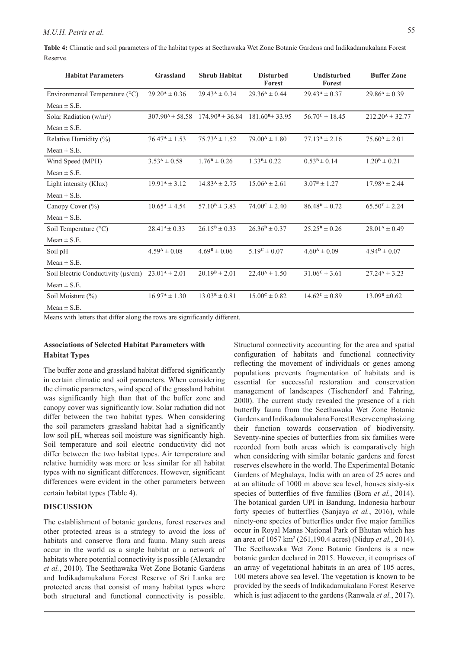**Table 4:** Climatic and soil parameters of the habitat types at Seethawaka Wet Zone Botanic Gardens and Indikadamukalana Forest Reserve.

| <b>Habitat Parameters</b>                 | Grassland                        | <b>Shrub Habitat</b>          | <b>Disturbed</b><br>Forest | <b>Undisturbed</b><br>Forest | <b>Buffer Zone</b>       |
|-------------------------------------------|----------------------------------|-------------------------------|----------------------------|------------------------------|--------------------------|
| Environmental Temperature (°C)            | $29.20^4 \pm 0.36$               | $29.43A \pm 0.34$             | $29.36^{\rm A} \pm 0.44$   | $29.43A \pm 0.37$            | $29.86A \pm 0.39$        |
| $Mean \pm S.E.$                           |                                  |                               |                            |                              |                          |
| Solar Radiation $(w/m^2)$                 | $307.90^{\text{A}} \pm 58.58$    | $174.90^{\text{B}} \pm 36.84$ | $181.60B \pm 33.95$        | $56.70^{\circ} \pm 18.45$    | $212.20^4 \pm 32.77$     |
| $Mean \pm S.E.$                           |                                  |                               |                            |                              |                          |
| Relative Humidity (%)                     | $76.47^{\rm A} \pm 1.53$         | $75.73A \pm 1.52$             | $79.00^4 \pm 1.80$         | $77.13A \pm 2.16$            | $75.60^{\rm A} \pm 2.01$ |
| $Mean \pm S.E.$                           |                                  |                               |                            |                              |                          |
| Wind Speed (MPH)                          | $3.53^4 \pm 0.58$                | $1.76^{\rm B} \pm 0.26$       | $1.33B \pm 0.22$           | $0.53^{\rm B} \pm 0.14$      | $1.20^{\rm B} \pm 0.21$  |
| $Mean \pm S.E.$                           |                                  |                               |                            |                              |                          |
| Light intensity (Klux)                    | $19.91A \pm 3.12$                | $14.83A \pm 2.75$             | $15.06^{\rm A} \pm 2.61$   | $3.07^{\rm B} \pm 1.27$      | $17.98^{\rm A} \pm 2.44$ |
| Mean $\pm$ S.E.                           |                                  |                               |                            |                              |                          |
| Canopy Cover (%)                          | $10.65^{\rm A} \pm 4.54$         | $57.10^{\text{B}} \pm 3.83$   | $74.00^{\circ} \pm 2.40$   | $86.48^{p} \pm 0.72$         | $65.50^{E} \pm 2.24$     |
| $Mean \pm S.E.$                           |                                  |                               |                            |                              |                          |
| Soil Temperature (°C)                     | $28.41^{A} \pm 0.33$             | $26.15^{\rm B} \pm 0.33$      | $26.36^{\rm B} \pm 0.37$   | $25.25^{\rm B} \pm 0.26$     | $28.01A \pm 0.49$        |
| $Mean \pm S.E.$                           |                                  |                               |                            |                              |                          |
| Soil pH                                   | $4.59^{\rm A} \pm 0.08$          | $4.69^{\rm B} \pm 0.06$       | $5.19^{\circ} \pm 0.07$    | $4.60^{\rm A} \pm 0.09$      | $4.94^{\rm p} \pm 0.07$  |
| Mean $\pm$ S.E.                           |                                  |                               |                            |                              |                          |
| Soil Electric Conductivity ( $\mu s/cm$ ) | $23.01A \pm 2.01$                | $20.19^{\rm B} \pm 2.01$      | $22.40^4 \pm 1.50$         | $31.06^{\circ} \pm 3.61$     | $27.24^4 \pm 3.23$       |
| Mean $\pm$ S.E.                           |                                  |                               |                            |                              |                          |
| Soil Moisture (%)                         | $16.97^{\rm A} \pm 1.30^{\rm C}$ | $13.03^{\rm B} \pm 0.81$      | $15.00^{\circ} \pm 0.82$   | $14.62^{\circ} \pm 0.89$     | $13.09B \pm 0.62$        |
| $Mean \pm S.E.$                           |                                  |                               |                            |                              |                          |

Means with letters that differ along the rows are significantly different.

# **Associations of Selected Habitat Parameters with Habitat Types**

The buffer zone and grassland habitat differed significantly in certain climatic and soil parameters. When considering the climatic parameters, wind speed of the grassland habitat was significantly high than that of the buffer zone and canopy cover was significantly low. Solar radiation did not differ between the two habitat types. When considering the soil parameters grassland habitat had a significantly low soil pH, whereas soil moisture was significantly high. Soil temperature and soil electric conductivity did not differ between the two habitat types. Air temperature and relative humidity was more or less similar for all habitat types with no significant differences. However, significant differences were evident in the other parameters between certain habitat types (Table 4).

## **DISCUSSION**

The establishment of botanic gardens, forest reserves and other protected areas is a strategy to avoid the loss of habitats and conserve flora and fauna. Many such areas occur in the world as a single habitat or a network of habitats where potential connectivity is possible (Alexandre *et al.*, 2010). The Seethawaka Wet Zone Botanic Gardens and Indikadamukalana Forest Reserve of Sri Lanka are protected areas that consist of many habitat types where both structural and functional connectivity is possible.

Structural connectivity accounting for the area and spatial configuration of habitats and functional connectivity reflecting the movement of individuals or genes among populations prevents fragmentation of habitats and is essential for successful restoration and conservation management of landscapes (Tischendorf and Fahring, 2000). The current study revealed the presence of a rich butterfly fauna from the Seethawaka Wet Zone Botanic Gardens and Indikadamukalana Forest Reserve emphasizing their function towards conservation of biodiversity. Seventy-nine species of butterflies from six families were recorded from both areas which is comparatively high when considering with similar botanic gardens and forest reserves elsewhere in the world. The Experimental Botanic Gardens of Meghalaya, India with an area of 25 acres and at an altitude of 1000 m above sea level, houses sixty-six species of butterflies of five families (Bora *et al.*, 2014). The botanical garden UPI in Bandung, Indonesia harbour forty species of butterflies (Sanjaya *et al.*, 2016), while ninety-one species of butterflies under five major families occur in Royal Manas National Park of Bhutan which has an area of 1057 km2 (261,190.4 acres) (Nidup *et al.*, 2014). The Seethawaka Wet Zone Botanic Gardens is a new botanic garden declared in 2015. However, it comprises of an array of vegetational habitats in an area of 105 acres, 100 meters above sea level. The vegetation is known to be provided by the seeds of Indikadamukalana Forest Reserve which is just adjacent to the gardens (Ranwala *et al.*, 2017).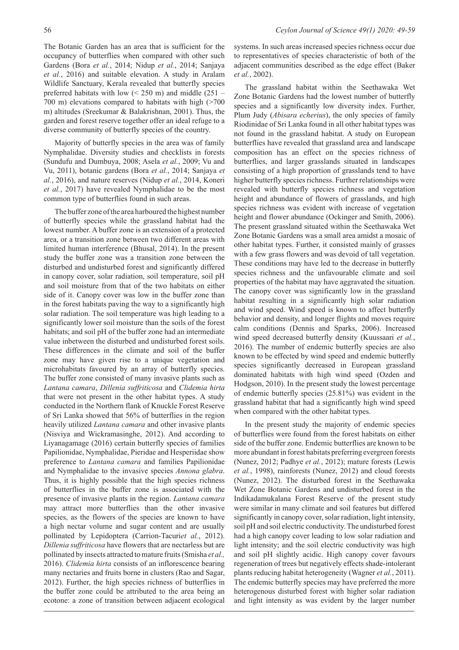The Botanic Garden has an area that is sufficient for the occupancy of butterflies when compared with other such Gardens (Bora *et al.*, 2014; Nidup *et al.*, 2014; Sanjaya *et al.*, 2016) and suitable elevation. A study in Aralam Wildlife Sanctuary, Kerala revealed that butterfly species preferred habitats with low  $(< 250 \text{ m})$  and middle  $(251 -$ 700 m) elevations compared to habitats with high (>700 m) altitudes (Sreekumar & Balakrishnan, 2001). Thus, the garden and forest reserve together offer an ideal refuge to a diverse community of butterfly species of the country.

Majority of butterfly species in the area was of family Nymphalidae. Diversity studies and checklists in forests (Sundufu and Dumbuya, 2008; Asela *et al.*, 2009; Vu and Vu, 2011), botanic gardens (Bora *et al.*, 2014; Sanjaya *et al.*, 2016), and nature reserves (Nidup *et al.*, 2014, Koneri *et al.*, 2017) have revealed Nymphalidae to be the most common type of butterflies found in such areas.

The buffer zone of the area harboured the highest number of butterfly species while the grassland habitat had the lowest number. A buffer zone is an extension of a protected area, or a transition zone between two different areas with limited human interference (Bhusal, 2014). In the present study the buffer zone was a transition zone between the disturbed and undisturbed forest and significantly differed in canopy cover, solar radiation, soil temperature, soil pH and soil moisture from that of the two habitats on either side of it. Canopy cover was low in the buffer zone than in the forest habitats paving the way to a significantly high solar radiation. The soil temperature was high leading to a significantly lower soil moisture than the soils of the forest habitats; and soil pH of the buffer zone had an intermediate value inbetween the disturbed and undisturbed forest soils. These differences in the climate and soil of the buffer zone may have given rise to a unique vegetation and microhabitats favoured by an array of butterfly species. The buffer zone consisted of many invasive plants such as *Lantana camara*, *Dillenia suffriticosa* and *Clidemia hirta* that were not present in the other habitat types. A study conducted in the Northern flank of Knuckle Forest Reserve of Sri Lanka showed that 56% of butterflies in the region heavily utilized *Lantana camara* and other invasive plants (Nisviya and Wickramasinghe, 2012). And according to Liyanagamage (2016) certain butterfly species of families Papilionidae, Nymphalidae, Pieridae and Hesperiidae show preference to *Lantana camara* and families Papilionidae and Nymphalidae to the invasive species *Annona glabra*. Thus, it is highly possible that the high species richness of butterflies in the buffer zone is associated with the presence of invasive plants in the region. *Lantana camara*  may attract more butterflies than the other invasive species, as the flowers of the species are known to have a high nectar volume and sugar content and are usually pollinated by Lepidoptera (Carrion-Tacuriet al., 2012). *Dillenia suffriticosa* have flowers that are nectarless but are pollinated by insects attracted to mature fruits (Smisha *et al.,*  2016). *Clidemia hirta* consists of an inflorescence bearing many nectaries and fruits borne in clusters (Rao and Sagar, 2012). Further, the high species richness of butterflies in the buffer zone could be attributed to the area being an ecotone: a zone of transition between adjacent ecological

systems. In such areas increased species richness occur due to representatives of species characteristic of both of the adjacent communities described as the edge effect (Baker *et al.*, 2002).

The grassland habitat within the Seethawaka Wet Zone Botanic Gardens had the lowest number of butterfly species and a significantly low diversity index. Further, Plum Judy (*Abisara echerius*), the only species of family Riodinidae of Sri Lanka found in all other habitat types was not found in the grassland habitat. A study on European butterflies have revealed that grassland area and landscape composition has an effect on the species richness of butterflies, and larger grasslands situated in landscapes consisting of a high proportion of grasslands tend to have higher butterfly species richness. Further relationships were revealed with butterfly species richness and vegetation height and abundance of flowers of grasslands, and high species richness was evident with increase of vegetation height and flower abundance (Ockinger and Smith, 2006). The present grassland situated within the Seethawaka Wet Zone Botanic Gardens was a small area amidst a mosaic of other habitat types. Further, it consisted mainly of grasses with a few grass flowers and was devoid of tall vegetation. These conditions may have led to the decrease in butterfly species richness and the unfavourable climate and soil properties of the habitat may have aggravated the situation. The canopy cover was significantly low in the grassland habitat resulting in a significantly high solar radiation and wind speed. Wind speed is known to affect butterfly behavior and density, and longer flights and moves require calm conditions (Dennis and Sparks, 2006). Increased wind speed decreased butterfly density (Kuussaari *et al.*, 2016). The number of endemic butterfly species are also known to be effected by wind speed and endemic butterfly species significantly decreased in European grassland dominated habitats with high wind speed (Ozden and Hodgson, 2010). In the present study the lowest percentage of endemic butterfly species (25.81%) was evident in the grassland habitat that had a significantly high wind speed when compared with the other habitat types.

In the present study the majority of endemic species of butterflies were found from the forest habitats on either side of the buffer zone. Endemic butterflies are known to be more abundant in forest habitats preferring evergreen forests (Nunez, 2012; Padhye *et al.*, 2012); mature forests (Lewis *et al.*, 1998), rainforests (Nunez, 2012) and cloud forests (Nunez, 2012). The disturbed forest in the Seethawaka Wet Zone Botanic Gardens and undisturbed forest in the Indikadamukalana Forest Reserve of the present study were similar in many climate and soil features but differed significantly in canopy cover, solar radiation, light intensity, soil pH and soil electric conductivity. The undisturbed forest had a high canopy cover leading to low solar radiation and light intensity; and the soil electric conductivity was high and soil pH slightly acidic. High canopy cover favours regeneration of trees but negatively effects shade-intolerant plants reducing habitat heterogeneity (Wagner *et al.*, 2011). The endemic butterfly species may have preferred the more heterogenous disturbed forest with higher solar radiation and light intensity as was evident by the larger number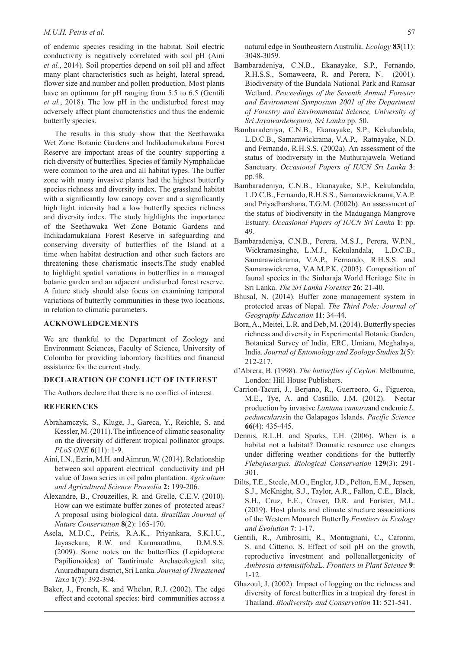of endemic species residing in the habitat. Soil electric conductivity is negatively correlated with soil pH (Aini *et al.*, 2014). Soil properties depend on soil pH and affect many plant characteristics such as height, lateral spread, flower size and number and pollen production. Most plants have an optimum for pH ranging from 5.5 to 6.5 (Gentili *et al.*, 2018). The low pH in the undisturbed forest may adversely affect plant characteristics and thus the endemic butterfly species.

The results in this study show that the Seethawaka Wet Zone Botanic Gardens and Indikadamukalana Forest Reserve are important areas of the country supporting a rich diversity of butterflies. Species of family Nymphalidae were common to the area and all habitat types. The buffer zone with many invasive plants had the highest butterfly species richness and diversity index. The grassland habitat with a significantly low canopy cover and a significantly high light intensity had a low butterfly species richness and diversity index. The study highlights the importance of the Seethawaka Wet Zone Botanic Gardens and Indikadamukalana Forest Reserve in safeguarding and conserving diversity of butterflies of the Island at a time when habitat destruction and other such factors are threatening these charismatic insects.The study enabled to highlight spatial variations in butterflies in a managed botanic garden and an adjacent undisturbed forest reserve. A future study should also focus on examining temporal variations of butterfly communities in these two locations, in relation to climatic parameters.

## **ACKNOWLEDGEMENTS**

We are thankful to the Department of Zoology and Environment Sciences, Faculty of Science, University of Colombo for providing laboratory facilities and financial assistance for the current study.

# **DECLARATION OF CONFLICT OF INTEREST**

The Authors declare that there is no conflict of interest.

#### **REFERENCES**

- Abrahamczyk, S., Kluge, J., Gareca, Y., Reichle, S. and Kessler, M. (2011). The influence of climatic seasonality on the diversity of different tropical pollinator groups. *PLoS ONE* **6**(11): 1-9.
- Aini, I.N., Ezrin, M.H. and Aimrun, W. (2014). Relationship between soil apparent electrical conductivity and pH value of Jawa series in oil palm plantation. *Agriculture and Agricultural Science Procedia* **2:** 199-206.
- Alexandre, B., Crouzeilles, R. and Grelle, C.E.V. (2010). How can we estimate buffer zones of protected areas? A proposal using biological data. *Brazilian Journal of Nature Conservation* **8**(2): 165-170.
- Asela, M.D.C., Peiris, R.A.K., Priyankara, S.K.I.U., Jayasekara, R.W. and Karunarathna, D.M.S.S. (2009). Some notes on the butterflies (Lepidoptera: Papilionoidea) of Tantirimale Archaeological site, Anuradhapura district, Sri Lanka. *Journal of Threatened Taxa* **1**(7): 392-394.
- Baker, J., French, K. and Whelan, R.J. (2002). The edge effect and ecotonal species: bird communities across a

natural edge in Southeastern Australia. *Ecology* **83**(11): 3048-3059.

- Bambaradeniya, C.N.B., Ekanayake, S.P., Fernando, R.H.S.S., Somaweera, R. and Perera, N. (2001). Biodiversity of the Bundala National Park and Ramsar Wetland. *Proceedings of the Seventh Annual Forestry and Environment Symposium 2001 of the Department of Forestry and Environmental Science, University of Sri Jayawardenepura, Sri Lanka* pp. 50.
- Bambaradeniya, C.N.B., Ekanayake, S.P., Kekulandala, L.D.C.B., Samarawickrama, V.A.P., Ratnayake, N.D. and Fernando, R.H.S.S. (2002a). An assessment of the status of biodiversity in the Muthurajawela Wetland Sanctuary. *Occasional Papers of IUCN Sri Lanka* **3**: pp.48.
- Bambaradeniya, C.N.B., Ekanayake, S.P., Kekulandala, L.D.C.B., Fernando, R.H.S.S., Samarawickrama, V.A.P. and Priyadharshana, T.G.M. (2002b). An assessment of the status of biodiversity in the Maduganga Mangrove Estuary. *Occasional Papers of IUCN Sri Lanka* **1**: pp. 49.
- Bambaradeniya, C.N.B., Perera, M.S.J., Perera, W.P.N., Wickramasinghe, L.M.J., Kekulandala, L.D.C.B., Samarawickrama, V.A.P., Fernando, R.H.S.S. and Samarawickrema, V.A.M.P.K. (2003). Composition of faunal species in the Sinharaja World Heritage Site in Sri Lanka. *The Sri Lanka Forester* **26**: 21-40.
- Bhusal, N. (2014). Buffer zone management system in protected areas of Nepal. *The Third Pole: Journal of Geography Education* **11**: 34-44.
- Bora, A., Meitei, L.R. and Deb, M. (2014). Butterfly species richness and diversity in Experimental Botanic Garden, Botanical Survey of India, ERC, Umiam, Meghalaya, India. *Journal of Entomology and Zoology Studies* **2**(5): 212-217.
- d'Abrera, B. (1998). *The butterflies of Ceylon.* Melbourne, London: Hill House Publishers.
- Carrion-Tacuri, J., Berjano, R., Guerreoro, G., Figueroa, M.E., Tye, A. and Castillo, J.M. (2012). Nectar production by invasive *Lantana camara*and endemic *L. peduncularis*in the Galapagos Islands. *Pacific Science*  **66**(4): 435-445.
- Dennis, R.L.H. and Sparks, T.H. (2006). When is a habitat not a habitat? Dramatic resource use changes under differing weather conditions for the butterfly *Plebejusargus*. *Biological Conservation* **129**(3): 291- 301.
- Dilts, T.E., Steele, M.O., Engler, J.D., Pelton, E.M., Jepsen, S.J., McKnight, S.J., Taylor, A.R., Fallon, C.E., Black, S.H., Cruz, E.E., Craver, D.R. and Forister, M.L. (2019). Host plants and climate structure associations of the Western Monarch Butterfly.*Frontiers in Ecology and Evolution* **7**: 1-17.
- Gentili, R., Ambrosini, R., Montagnani, C., Caronni, S. and Citterio, S. Effect of soil pH on the growth, reproductive investment and pollenallergenicity of *Ambrosia artemisiifolia*L. *Frontiers in Plant Science* **9**: 1-12.
- Ghazoul, J. (2002). Impact of logging on the richness and diversity of forest butterflies in a tropical dry forest in Thailand. *Biodiversity and Conservation* **11**: 521-541.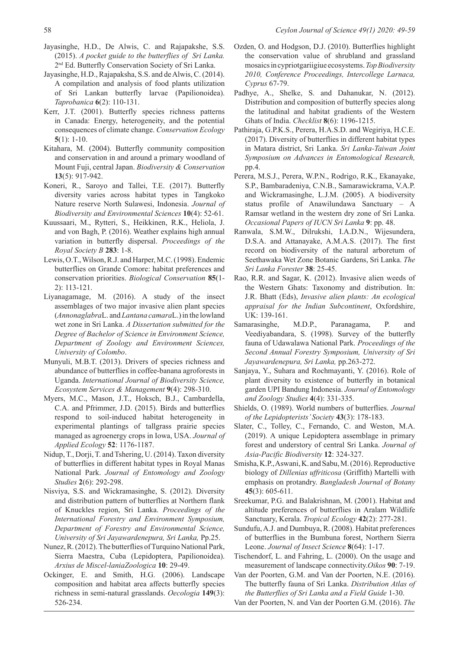- Jayasinghe, H.D., De Alwis, C. and Rajapakshe, S.S. (2015). *A pocket guide to the butterflies of Sri Lanka.*  2nd Ed. Butterfly Conservation Society of Sri Lanka.
- Jayasinghe, H.D., Rajapaksha, S.S. and de Alwis, C. (2014). A compilation and analysis of food plants utilization of Sri Lankan butterfly larvae (Papilionoidea). *Taprobanica* **6**(2): 110-131.
- Kerr, J.T. (2001). Butterfly species richness patterns in Canada: Energy, heterogeneity, and the potential consequences of climate change. *Conservation Ecology*  **5**(1): 1-10.
- Kitahara, M. (2004). Butterfly community composition and conservation in and around a primary woodland of Mount Fuji, central Japan. *Biodiversity & Conservation*  **13**(5): 917-942.
- Koneri, R., Saroyo and Tallei, T.E. (2017). Butterfly diversity varies across habitat types in Tangkoko Nature reserve North Sulawesi, Indonesia. *Journal of Biodiversity and Environmental Sciences* **10**(4): 52-61.
- Kuussaari, M., Rytteri, S., Heikkinen, R.K., Heliola, J. and von Bagh, P. (2016). Weather explains high annual variation in butterfly dispersal. *Proceedings of the Royal Society B* **283**: 1-8.
- Lewis, O.T., Wilson, R.J. and Harper, M.C. (1998). Endemic butterflies on Grande Comore: habitat preferences and conservation priorities. *Biological Conservation* **85**(1- 2): 113-121.
- Liyanagamage, M. (2016). A study of the insect assemblages of two major invasive alien plant species (*Annonaglabra*L. and *Lantana camara*L.) in the lowland wet zone in Sri Lanka. *A Dissertation submitted for the Degree of Bachelor of Science in Environment Science, Department of Zoology and Environment Sciences, University of Colombo*.
- Munyuli, M.B.T. (2013). Drivers of species richness and abundance of butterflies in coffee-banana agroforests in Uganda. *International Journal of Biodiversity Science, Ecosystem Services & Management* **9**(4): 298-310.
- Myers, M.C., Mason, J.T., Hoksch, B.J., Cambardella, C.A. and Pfrimmer, J.D. (2015). Birds and butterflies respond to soil-induced habitat heterogeneity in experimental plantings of tallgrass prairie species managed as agroenergy crops in Iowa, USA. *Journal of Applied Ecology* **52**: 1176-1187.
- Nidup, T., Dorji, T. and Tshering, U. (2014). Taxon diversity of butterflies in different habitat types in Royal Manas National Park. *Journal of Entomology and Zoology Studies* **2**(6): 292-298.
- Nisviya, S.S. and Wickramasinghe, S. (2012). Diversity and distribution pattern of butterflies at Northern flank of Knuckles region, Sri Lanka. *Proceedings of the International Forestry and Environment Symposium, Department of Forestry and Environmental Science, University of Sri Jayawardenepura, Sri Lanka,* Pp.25.
- Nunez, R. (2012). The butterflies of Turquino National Park, Sierra Maestra, Cuba (Lepidoptera, Papilionoidea). *Arxius de Miscel-laniaZoologica* **10**: 29-49.
- Ockinger, E. and Smith, H.G. (2006). Landscape composition and habitat area affects butterfly species richness in semi-natural grasslands. *Oecologia* **149**(3): 526-234.
- Ozden, O. and Hodgson, D.J. (2010). Butterflies highlight the conservation value of shrubland and grassland mosaics in cypriotgariigiue ecosystems. *Top Biodiversity 2010, Conference Proceedings, Intercollege Larnaca, Cyprus* 67-79.
- Padhye, A., Shelke, S. and Dahanukar, N. (2012). Distribution and composition of butterfly species along the latitudinal and habitat gradients of the Western Ghats of India. *Checklist* **8**(6): 1196-1215.
- Pathiraja, G.P.K.S., Perera, H.A.S.D. and Wegiriya, H.C.E. (2017). Diversity of butterflies in different habitat types in Matara district, Sri Lanka. *Sri Lanka-Taiwan Joint Symposium on Advances in Entomological Research,*  pp.4.
- Perera, M.S.J., Perera, W.P.N., Rodrigo, R.K., Ekanayake, S.P., Bambaradeniya, C.N.B., Samarawickrama, V.A.P. and Wickramasinghe, L.J.M. (2005). A biodiversity status profile of Anawilundawa Sanctuary – A Ramsar wetland in the western dry zone of Sri Lanka. *Occasional Papers of IUCN Sri Lanka* **9**: pp. 48.
- Ranwala, S.M.W., Dilrukshi, I.A.D.N., Wijesundera, D.S.A. and Attanayake, A.M.A.S. (2017). The first record on biodiversity of the natural arboretum of Seethawaka Wet Zone Botanic Gardens, Sri Lanka. *The Sri Lanka Forester* **38**: 25-45.
- Rao, R.R. and Sagar, K. (2012). Invasive alien weeds of the Western Ghats: Taxonomy and distribution. In: J.R. Bhatt (Eds), *Invasive alien plants: An ecological appraisal for the Indian Subcontinent*, Oxfordshire, UK: 139-161.
- Samarasinghe, M.D.P., Paranagama, P. and Veediyabandara, S. (1998). Survey of the butterfly fauna of Udawalawa National Park. *Proceedings of the Second Annual Forestry Symposium, University of Sri Jayawardenepura, Sri Lanka,* pp.263-272.
- Sanjaya, Y., Suhara and Rochmayanti, Y. (2016). Role of plant diversity to existence of butterfly in botanical garden UPI Bandung Indonesia. *Journal of Entomology and Zoology Studies* **4**(4): 331-335.
- Shields, O. (1989). World numbers of butterflies. *Journal of the Lepidopterists' Society* **43**(3): 178-183.
- Slater, C., Tolley, C., Fernando, C. and Weston, M.A. (2019). A unique Lepidoptera assemblage in primary forest and understory of central Sri Lanka. *Journal of Asia-Pacific Biodiversity* **12**: 324-327.
- Smisha, K.P., Aswani, K. and Sabu, M. (2016). Reproductive biology of *Dillenias uffriticosa* (Griffith) Martelli with emphasis on protandry. *Bangladesh Journal of Botany*  **45**(3): 605-611.
- Sreekumar, P.G. and Balakrishnan, M. (2001). Habitat and altitude preferences of butterflies in Aralam Wildlife Sanctuary, Kerala. *Tropical Ecology* **42**(2): 277-281.
- Sundufu, A.J. and Dumbuya, R. (2008). Habitat preferences of butterflies in the Bumbuna forest, Northern Sierra Leone. *Journal of Insect Science* **8**(64): 1-17.
- Tischendorf, L. and Fahring, L. (2000). On the usage and measurement of landscape connectivity.*Oikos* **90**: 7-19.

Van der Poorten, G.M. and Van der Poorten, N.E. (2016). The butterfly fauna of Sri Lanka. *Distribution Atlas of the Butterflies of Sri Lanka and a Field Guide* 1-30.

Van der Poorten, N. and Van der Poorten G.M. (2016). *The*